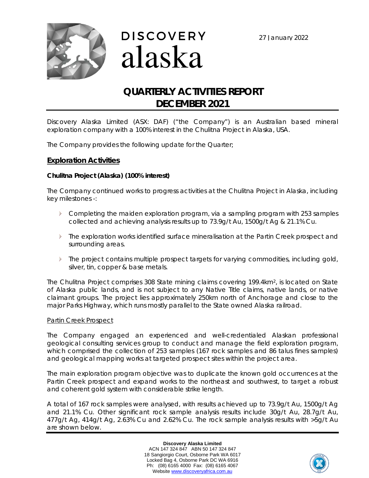





# **QUARTERLY ACTIVITIES REPORT DECEMBER 2021**

Discovery Alaska Limited (ASX: DAF) ("the Company") is an Australian based mineral exploration company with a 100% interest in the Chulitna Project in Alaska, USA.

The Company provides the following update for the Quarter;

### **Exploration Activities**

### *Chulitna Project (Alaska) (100% interest)*

The Company continued works to progress activities at the Chulitna Project in Alaska, including key milestones -:

- Completing the maiden exploration program, via a sampling program with 253 samples collected and achieving analysis results up to 73.9g/t Au, 1500g/t Ag & 21.1% Cu.
- The exploration works identified surface mineralisation at the Partin Creek prospect and surrounding areas.
- $\triangleright$ The project contains multiple prospect targets for varying commodities, including gold, silver, tin, copper & base metals.

The Chulitna Project comprises 308 State mining claims covering 199.4km2, is located on State of Alaska public lands, and is not subject to any Native Title claims, native lands, or native claimant groups. The project lies approximately 250km north of Anchorage and close to the major Parks Highway, which runs mostly parallel to the State owned Alaska railroad.

#### *Partin Creek Prospect*

The Company engaged an experienced and well-credentialed Alaskan professional geological consulting services group to conduct and manage the field exploration program, which comprised the collection of 253 samples (167 rock samples and 86 talus fines samples) and geological mapping works at targeted prospect sites within the project area.

The main exploration program objective was to duplicate the known gold occurrences at the Partin Creek prospect and expand works to the northeast and southwest, to target a robust and coherent gold system with considerable strike length.

A total of 167 rock samples were analysed, with results achieved up to 73.9g/t Au, 1500g/t Ag and 21.1% Cu. Other significant rock sample analysis results include 30g/t Au, 28.7g/t Au, 477g/t Ag, 414g/t Ag, 2.63% Cu and 2.62% Cu. The rock sample analysis results with >5g/t Au are shown below.

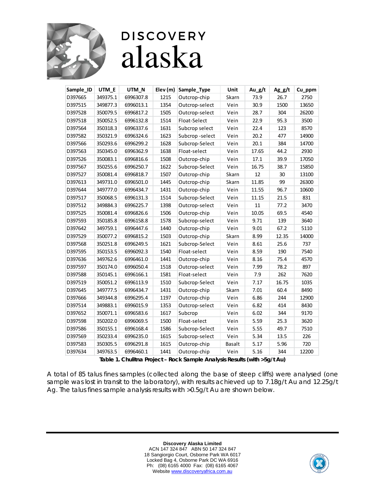

| Sample_ID | UTM_E    | UTM_N     | Elev (m) | Sample_Type    | Unit   | Au_g/t | $Ag_g/t$ | Cu_ppm |
|-----------|----------|-----------|----------|----------------|--------|--------|----------|--------|
| D397665   | 349375.1 | 6996307.8 | 1215     | Outcrop-chip   | Skarn  | 73.9   | 26.7     | 2750   |
| D397515   | 349877.3 | 6996013.1 | 1354     | Outcrop-select | Vein   | 30.9   | 1500     | 13650  |
| D397528   | 350079.5 | 6996817.2 | 1505     | Outcrop-select | Vein   | 28.7   | 304      | 26200  |
| D397518   | 350052.5 | 6996132.8 | 1514     | Float-Select   | Vein   | 22.9   | 95.3     | 3500   |
| D397564   | 350318.3 | 6996337.6 | 1631     | Subcrop select | Vein   | 22.4   | 123      | 8570   |
| D397582   | 350321.9 | 6996324.6 | 1623     | Subcrop-select | Vein   | 20.2   | 477      | 14900  |
| D397566   | 350293.6 | 6996299.2 | 1628     | Subcrop-Select | Vein   | 20.1   | 384      | 14700  |
| D397563   | 350345.0 | 6996362.9 | 1638     | Float-select   | Vein   | 17.65  | 44.2     | 2930   |
| D397526   | 350083.1 | 6996816.6 | 1508     | Outcrop-chip   | Vein   | 17.1   | 39.9     | 17050  |
| D397567   | 350255.6 | 6996250.7 | 1622     | Subcrop-Select | Vein   | 16.75  | 38.7     | 15850  |
| D397527   | 350081.4 | 6996818.7 | 1507     | Outcrop-chip   | Skarn  | 12     | 30       | 13100  |
| D397613   | 349731.0 | 6996501.0 | 1445     | Outcrop-chip   | Skarn  | 11.85  | 99       | 26300  |
| D397644   | 349777.0 | 6996434.7 | 1431     | Outcrop-chip   | Vein   | 11.55  | 96.7     | 10600  |
| D397517   | 350068.5 | 6996131.3 | 1514     | Subcrop-Select | Vein   | 11.15  | 21.5     | 831    |
| D397512   | 349884.3 | 6996225.7 | 1398     | Outcrop-select | Vein   | 11     | 77.2     | 3470   |
| D397525   | 350081.4 | 6996826.6 | 1506     | Outcrop-chip   | Vein   | 10.05  | 69.5     | 4540   |
| D397593   | 350185.8 | 6996158.8 | 1578     | Subcrop-select | Vein   | 9.71   | 139      | 3640   |
| D397642   | 349759.1 | 6996447.6 | 1440     | Outcrop-chip   | Vein   | 9.01   | 67.2     | 5110   |
| D397529   | 350077.2 | 6996815.2 | 1503     | Outcrop-chip   | Skarn  | 8.99   | 12.35    | 14000  |
| D397568   | 350251.8 | 6996249.5 | 1621     | Subcrop-Select | Vein   | 8.61   | 25.6     | 737    |
| D397595   | 350153.5 | 6996092.3 | 1540     | Float-select   | Vein   | 8.59   | 190      | 7540   |
| D397636   | 349762.6 | 6996461.0 | 1441     | Outcrop-chip   | Vein   | 8.16   | 75.4     | 4570   |
| D397597   | 350174.0 | 6996050.4 | 1518     | Outcrop-select | Vein   | 7.99   | 78.2     | 897    |
| D397588   | 350145.1 | 6996166.1 | 1581     | Float-select   | Vein   | 7.9    | 262      | 7620   |
| D397519   | 350051.2 | 6996113.9 | 1510     | Subcrop-Select | Vein   | 7.17   | 16.75    | 1035   |
| D397645   | 349777.5 | 6996434.7 | 1431     | Outcrop-chip   | Skarn  | 7.01   | 60.4     | 8490   |
| D397666   | 349344.8 | 6996295.4 | 1197     | Outcrop-chip   | Vein   | 6.86   | 244      | 12900  |
| D397514   | 349883.1 | 6996015.9 | 1353     | Outcrop-select | Vein   | 6.82   | 414      | 8430   |
| D397652   | 350071.1 | 6996583.6 | 1617     | Subcrop        | Vein   | 6.02   | 344      | 9170   |
| D397598   | 350202.0 | 6996069.5 | 1500     | Float-select   | Vein   | 5.59   | 25.3     | 3620   |
| D397586   | 350155.1 | 6996168.4 | 1586     | Subcrop-Select | Vein   | 5.55   | 49.7     | 7510   |
| D397569   | 350233.4 | 6996235.0 | 1615     | Subcrop-select | Vein   | 5.34   | 13.5     | 226    |
| D397583   | 350305.5 | 6996291.8 | 1615     | Outcrop-chip   | Basalt | 5.17   | 5.96     | 720    |
| D397634   | 349763.5 | 6996460.1 | 1441     | Outcrop-chip   | Vein   | 5.16   | 344      | 12200  |

**Table 1. Chulitna Project – Rock Sample Analysis Results (with >5g/t Au)**

A total of 85 talus fines samples (collected along the base of steep cliffs) were analysed (one sample was lost in transit to the laboratory), with results achieved up to 7.18g/t Au and 12.25g/t Ag. The talus fines sample analysis results with >0.5g/t Au are shown below.

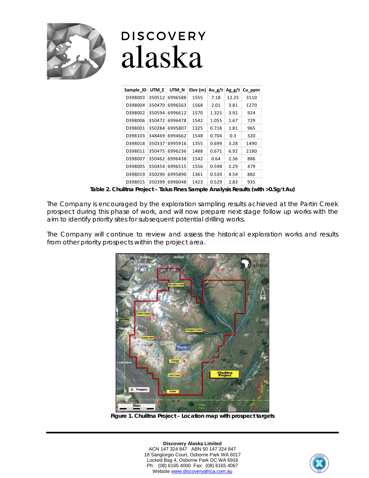

| Sample ID | UTM E  | UTM N   | Elev (m) $\vert$ Au g/t |       | Agg/t | Cu ppm |
|-----------|--------|---------|-------------------------|-------|-------|--------|
| D398003   | 350512 | 6996588 | 1555                    | 7.18  | 12.25 | 3110   |
| D398004   | 350470 | 6996563 | 1568                    | 2.01  | 3.81  | 1270   |
| D398002   | 350594 | 6996612 | 1570                    | 1.325 | 3.92  | 924    |
| D398006   | 350472 | 6996478 | 1542                    | 1.055 | 1.67  | 729    |
| D398001   | 350284 | 6995807 | 1325                    | 0.718 | 1.81  | 965    |
| D398103   | 348469 | 6994662 | 1548                    | 0.704 | 0.3   | 320    |
| D398018   | 350337 | 6995916 | 1355                    | 0.699 | 3.28  | 1490   |
| D398011   | 350475 | 6996236 | 1488                    | 0.671 | 6.92  | 2180   |
| D398007   | 350462 | 6996438 | 1542                    | 0.64  | 2.36  | 886    |
| D398005   | 350454 | 6996515 | 1556                    | 0.598 | 2.29  | 479    |
| D398019   | 350290 | 6995890 | 1361                    | 0.539 | 4.54  | 882    |
| D398015   | 350399 | 6996048 | 1423                    | 0.529 | 2.83  | 935    |

**Table 2. Chulitna Project – Talus Fines Sample Analysis Results (with >0.5g/t Au)**

The Company is encouraged by the exploration sampling results achieved at the Partin Creek prospect during this phase of work, and will now prepare next stage follow up works with the aim to identify priority sites for subsequent potential drilling works.

The Company will continue to review and assess the historical exploration works and results from other priority prospects within the project area.



**Figure 1. Chulitna Project – Location map with prospect targets**

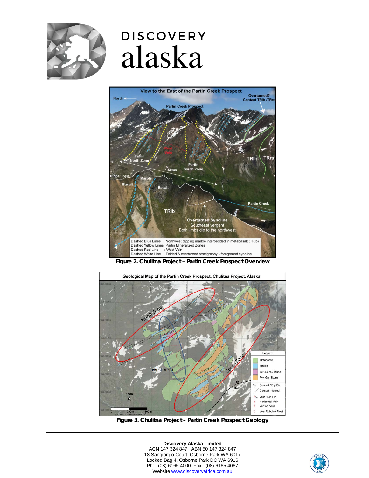



**Figure 2. Chulitna Project – Partin Creek Prospect Overview**



**Figure 3. Chulitna Project – Partin Creek Prospect Geology**

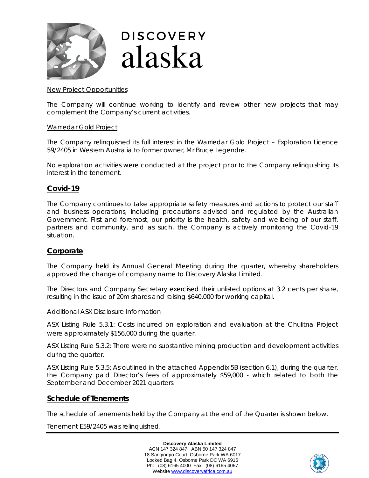

#### *New Project Opportunities*

The Company will continue working to identify and review other new projects that may complement the Company's current activities.

#### *Warriedar Gold Project*

The Company relinquished its full interest in the Warriedar Gold Project – Exploration Licence 59/2405 in Western Australia to former owner, Mr Bruce Legendre.

No exploration activities were conducted at the project prior to the Company relinquishing its interest in the tenement.

## **Covid-19**

The Company continues to take appropriate safety measures and actions to protect our staff and business operations, including precautions advised and regulated by the Australian Government. First and foremost, our priority is the health, safety and wellbeing of our staff, partners and community, and as such, the Company is actively monitoring the Covid‐19 situation.

## **Corporate**

The Company held its Annual General Meeting during the quarter, whereby shareholders approved the change of company name to Discovery Alaska Limited.

The Directors and Company Secretary exercised their unlisted options at 3.2 cents per share, resulting in the issue of 20m shares and raising \$640,000 for working capital.

#### *Additional ASX Disclosure Information*

*ASX Listing Rule 5.3.1:* Costs incurred on exploration and evaluation at the Chulitna Project were approximately \$156,000 during the quarter.

*ASX Listing Rule 5.3.2:* There were no substantive mining production and development activities during the quarter.

*ASX Listing Rule 5.3.5:* As outlined in the attached Appendix 5B (section 6.1), during the quarter, the Company paid Director's fees of approximately \$59,000 - which related to both the September and December 2021 quarters.

#### **Schedule of Tenements**

The schedule of tenements held by the Company at the end of the Quarter is shown below.

Tenement E59/2405 was relinquished.

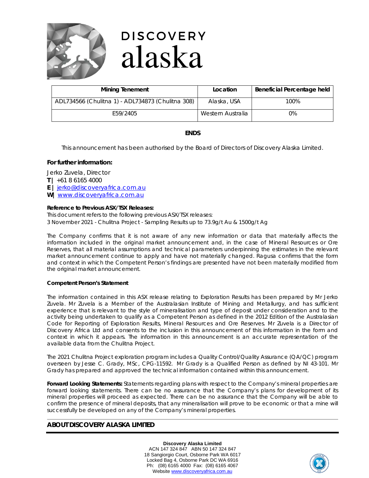

| <b>Mining Tenement</b>                            | Location          | Beneficial Percentage held |
|---------------------------------------------------|-------------------|----------------------------|
| ADL734566 (Chulitna 1) - ADL734873 (Chulitna 308) | Alaska, USA       | 100%                       |
| E59/2405                                          | Western Australia | 0%                         |

### **ENDS**

*This announcement has been authorised by the Board of Directors of Discovery Alaska Limited.*

#### **For further information:**

Jerko Zuvela, Director

- **T |** +61 8 6165 4000
- **E |** [jerko@discoveryafrica.com.au](mailto:jerko@discoveryafrica.com.au)
- **W|** [www.discoveryafrica.com.au](http://www.discoveryafrica.com.au/)

#### **Reference to Previous ASX/TSX Releases:**

This document refers to the following previous ASX/TSX releases: 3 November 2021 - Chulitna Project - Sampling Results up to *73.9g/t Au & 1500g/t Ag*

The Company confirms that it is not aware of any new information or data that materially affects the information included in the original market announcement and, in the case of Mineral Resources or Ore Reserves, that all material assumptions and technical parameters underpinning the estimates in the relevant market announcement continue to apply and have not materially changed. Ragusa confirms that the form and context in which the Competent Person's findings are presented have not been materially modified from the original market announcement.

#### **Competent Person's Statement**

The information contained in this ASX release relating to Exploration Results has been prepared by Mr Jerko Zuvela. Mr Zuvela is a Member of the Australasian Institute of Mining and Metallurgy, and has sufficient experience that is relevant to the style of mineralisation and type of deposit under consideration and to the activity being undertaken to qualify as a Competent Person as defined in the 2012 Edition of the Australasian Code for Reporting of Exploration Results, Mineral Resources and Ore Reserves. Mr Zuvela is a Director of Discovery Africa Ltd and consents to the inclusion in this announcement of this information in the form and context in which it appears. The information in this announcement is an accurate representation of the available data from the Chulitna Project.

The 2021 Chulitna Project exploration program includes a Quality Control/Quality Assurance (QA/QC) program overseen by Jesse C. Grady, MSc, CPG-11592. Mr Grady is a Qualified Person as defined by NI 43-101. Mr Grady has prepared and approved the technical information contained within this announcement.

**Forward Looking Statements:** Statements regarding plans with respect to the Company's mineral properties are forward looking statements. There can be no assurance that the Company's plans for development of its mineral properties will proceed as expected. There can be no assurance that the Company will be able to confirm the presence of mineral deposits, that any mineralisation will prove to be economic or that a mine will successfully be developed on any of the Company's mineral properties.

#### **ABOUT DISCOVERY ALASKA LIMITED**

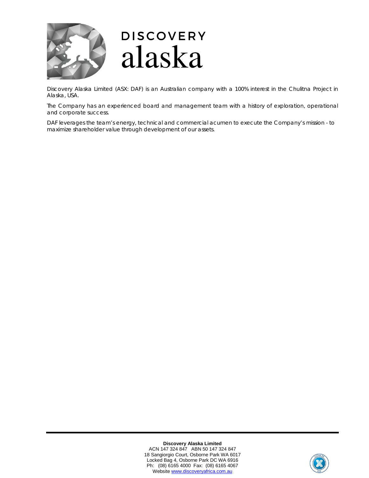

Discovery Alaska Limited (ASX: DAF) is an Australian company with a 100% interest in the Chulitna Project in Alaska, USA.

The Company has an experienced board and management team with a history of exploration, operational and corporate success.

DAF leverages the team's energy, technical and commercial acumen to execute the Company's mission - to maximize shareholder value through development of our assets.

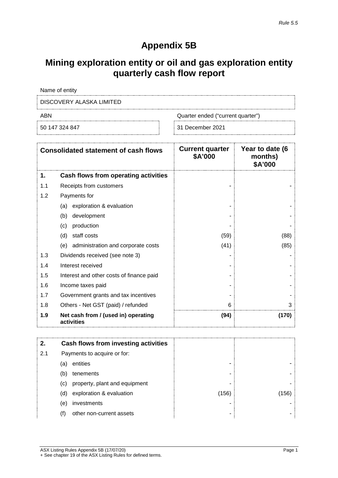## **Appendix 5B**

## **Mining exploration entity or oil and gas exploration entity quarterly cash flow report**

Name of entity

DISCOVERY ALASKA LIMITED

ABN Quarter ended ("current quarter")

50 147 324 847 31 December 2021

|     | <b>Consolidated statement of cash flows</b>       | <b>Current quarter</b><br>\$A'000 | Year to date (6<br>months)<br>\$A'000 |
|-----|---------------------------------------------------|-----------------------------------|---------------------------------------|
| 1.  | Cash flows from operating activities              |                                   |                                       |
| 1.1 | Receipts from customers                           |                                   |                                       |
| 1.2 | Payments for                                      |                                   |                                       |
|     | exploration & evaluation<br>(a)                   |                                   |                                       |
|     | development<br>(b)                                |                                   |                                       |
|     | production<br>(c)                                 |                                   |                                       |
|     | staff costs<br>(d)                                | (59)                              | (88)                                  |
|     | administration and corporate costs<br>(e)         | (41)                              | (85)                                  |
| 1.3 | Dividends received (see note 3)                   |                                   |                                       |
| 1.4 | Interest received                                 |                                   |                                       |
| 1.5 | Interest and other costs of finance paid          |                                   |                                       |
| 1.6 | Income taxes paid                                 |                                   |                                       |
| 1.7 | Government grants and tax incentives              |                                   |                                       |
| 1.8 | Others - Net GST (paid) / refunded                | 6                                 | 3                                     |
| 1.9 | Net cash from / (used in) operating<br>activities | (94)                              | (170)                                 |

| 2.  |     | Cash flows from investing activities |       |      |
|-----|-----|--------------------------------------|-------|------|
| 2.1 |     | Payments to acquire or for:          |       |      |
|     | (a) | entities                             | -     |      |
|     | (b) | tenements                            | ۰     |      |
|     | (c) | property, plant and equipment        | ۰     |      |
|     | (d) | exploration & evaluation             | (156) | 156. |
|     | (e) | investments                          | -     |      |
|     |     | other non-current assets             | ۰     |      |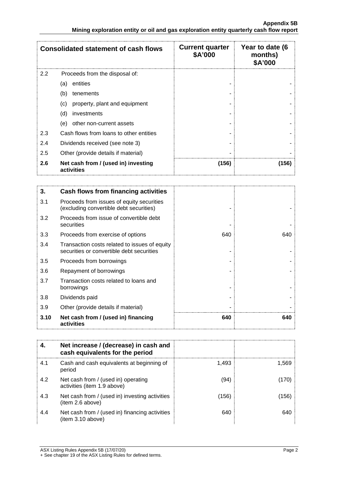|               | <b>Consolidated statement of cash flows</b>       | <b>Current quarter</b><br>\$A'000 | Year to date (6<br>months)<br>\$A'000 |
|---------------|---------------------------------------------------|-----------------------------------|---------------------------------------|
| $2.2^{\circ}$ | Proceeds from the disposal of:                    |                                   |                                       |
|               | entities<br>(a)                                   |                                   |                                       |
|               | (b)<br>tenements                                  |                                   |                                       |
|               | property, plant and equipment<br>(c)              |                                   |                                       |
|               | (d)<br>investments                                |                                   |                                       |
|               | other non-current assets<br>(e)                   |                                   |                                       |
| 2.3           | Cash flows from loans to other entities           |                                   |                                       |
| 2.4           | Dividends received (see note 3)                   |                                   |                                       |
| 2.5           | Other (provide details if material)               |                                   |                                       |
| 2.6           | Net cash from / (used in) investing<br>activities | (156)                             | (156)                                 |

| 3.   | Cash flows from financing activities                                                       |     |     |
|------|--------------------------------------------------------------------------------------------|-----|-----|
| 3.1  | Proceeds from issues of equity securities<br>(excluding convertible debt securities)       |     |     |
| 3.2  | Proceeds from issue of convertible debt<br>securities                                      |     |     |
| 3.3  | Proceeds from exercise of options                                                          | 640 | 640 |
| 3.4  | Transaction costs related to issues of equity<br>securities or convertible debt securities |     |     |
| 3.5  | Proceeds from borrowings                                                                   |     |     |
| 3.6  | Repayment of borrowings                                                                    |     |     |
| 3.7  | Transaction costs related to loans and<br>borrowings                                       |     |     |
| 3.8  | Dividends paid                                                                             |     |     |
| 3.9  | Other (provide details if material)                                                        |     |     |
| 3.10 | Net cash from / (used in) financing<br>activities                                          | 640 | 640 |

|     | Net increase / (decrease) in cash and<br>cash equivalents for the period |       |       |
|-----|--------------------------------------------------------------------------|-------|-------|
| 4.1 | Cash and cash equivalents at beginning of<br>period                      | 1.493 | 1.569 |
| 4.2 | Net cash from / (used in) operating<br>activities (item 1.9 above)       | (94   |       |
| 4.3 | Net cash from / (used in) investing activities<br>(item 2.6 above)       | (156) | 156   |
| 4.4 | Net cash from / (used in) financing activities<br>(item 3.10 above)      | 640   |       |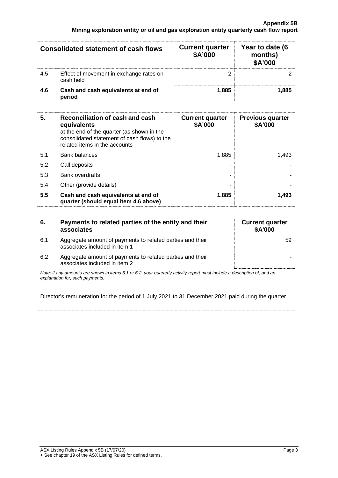| <b>Consolidated statement of cash flows</b> |                                                      | <b>Current quarter</b><br>\$A'000 | Year to date (6<br>months)<br>\$A'000 |
|---------------------------------------------|------------------------------------------------------|-----------------------------------|---------------------------------------|
| 4.5                                         | Effect of movement in exchange rates on<br>cash held |                                   |                                       |
| 4.6                                         | Cash and cash equivalents at end of<br>period        | 1.885                             |                                       |

| 5.  | Reconciliation of cash and cash<br>equivalents<br>at the end of the quarter (as shown in the<br>consolidated statement of cash flows) to the<br>related items in the accounts | <b>Current quarter</b><br>\$A'000 | <b>Previous quarter</b><br>\$A'000 |
|-----|-------------------------------------------------------------------------------------------------------------------------------------------------------------------------------|-----------------------------------|------------------------------------|
| 5.1 | Bank balances                                                                                                                                                                 | 1.885                             | 1.493                              |
| 5.2 | Call deposits                                                                                                                                                                 |                                   |                                    |
| 5.3 | <b>Bank overdrafts</b>                                                                                                                                                        |                                   |                                    |
| 5.4 | Other (provide details)                                                                                                                                                       |                                   |                                    |
| 5.5 | Cash and cash equivalents at end of<br>quarter (should equal item 4.6 above)                                                                                                  | 1.885                             |                                    |

| 6.  | Payments to related parties of the entity and their<br>associates                                                                                           | <b>Current quarter</b><br><b>\$A'000</b> |
|-----|-------------------------------------------------------------------------------------------------------------------------------------------------------------|------------------------------------------|
| 6.1 | Aggregate amount of payments to related parties and their<br>associates included in item 1                                                                  |                                          |
| 6.2 | Aggregate amount of payments to related parties and their<br>associates included in item 2                                                                  |                                          |
|     | Note: if any amounts are shown in items 6.1 or 6.2, your quarterly activity report must include a description of, and an<br>explanation for, such payments. |                                          |
|     | Director's remuneration for the period of 1 July 2021 to 31 December 2021 paid during the quarter.                                                          |                                          |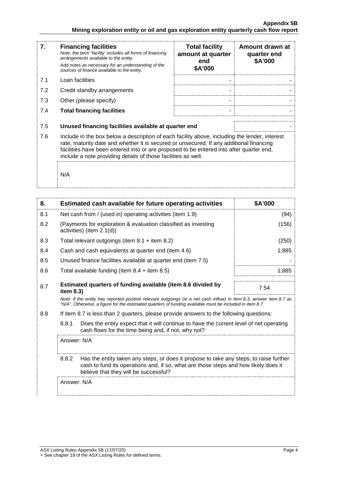| 7.  | <b>Financing facilities</b><br>Note: the term "facility' includes all forms of financing<br>arrangements available to the entity.<br>Add notes as necessary for an understanding of the<br>sources of finance available to the entity.                                                                                                               | <b>Total facility</b><br>amount at quarter<br>end<br>\$A'000 | Amount drawn at<br>quarter end<br>\$A'000 |
|-----|------------------------------------------------------------------------------------------------------------------------------------------------------------------------------------------------------------------------------------------------------------------------------------------------------------------------------------------------------|--------------------------------------------------------------|-------------------------------------------|
| 7.1 | Loan facilities                                                                                                                                                                                                                                                                                                                                      |                                                              |                                           |
| 7.2 | Credit standby arrangements                                                                                                                                                                                                                                                                                                                          |                                                              |                                           |
| 7.3 | Other (please specify)                                                                                                                                                                                                                                                                                                                               |                                                              |                                           |
| 7.4 | <b>Total financing facilities</b>                                                                                                                                                                                                                                                                                                                    |                                                              |                                           |
| 7.5 | Unused financing facilities available at quarter end                                                                                                                                                                                                                                                                                                 |                                                              |                                           |
| 7.6 | Include in the box below a description of each facility above, including the lender, interest<br>rate, maturity date and whether it is secured or unsecured. If any additional financing<br>facilities have been entered into or are proposed to be entered into after quarter end,<br>include a note providing details of those facilities as well. |                                                              |                                           |
|     | N/A                                                                                                                                                                                                                                                                                                                                                  |                                                              |                                           |

| 8.  |                                                                                                                                                                                                                                 | Estimated cash available for future operating activities                                                                                       | \$A'000 |
|-----|---------------------------------------------------------------------------------------------------------------------------------------------------------------------------------------------------------------------------------|------------------------------------------------------------------------------------------------------------------------------------------------|---------|
| 8.1 |                                                                                                                                                                                                                                 | Net cash from / (used in) operating activities (item 1.9)                                                                                      | (94)    |
| 8.2 | (Payments for exploration & evaluation classified as investing<br>activities) (item 2.1(d))                                                                                                                                     |                                                                                                                                                | (156)   |
| 8.3 | Total relevant outgoings (item $8.1 +$ item $8.2$ )                                                                                                                                                                             |                                                                                                                                                | (250)   |
| 8.4 | Cash and cash equivalents at quarter end (item 4.6)                                                                                                                                                                             |                                                                                                                                                | 1,885   |
| 8.5 |                                                                                                                                                                                                                                 | Unused finance facilities available at quarter end (item 7.5)                                                                                  |         |
| 8.6 | Total available funding (item $8.4 +$ item $8.5$ )                                                                                                                                                                              |                                                                                                                                                | 1,885   |
| 8.7 | Estimated quarters of funding available (item 8.6 divided by<br>item 8.3)                                                                                                                                                       |                                                                                                                                                | 7.54    |
|     | Note: if the entity has reported positive relevant outgoings (ie a net cash inflow) in item 8.3, answer item 8.7 as<br>"N/A". Otherwise, a figure for the estimated quarters of funding available must be included in item 8.7. |                                                                                                                                                |         |
| 8.8 | If item 8.7 is less than 2 quarters, please provide answers to the following questions:                                                                                                                                         |                                                                                                                                                |         |
|     | 8.8.1                                                                                                                                                                                                                           | Does the entity expect that it will continue to have the current level of net operating<br>cash flows for the time being and, if not, why not? |         |
|     | Answer: N/A                                                                                                                                                                                                                     |                                                                                                                                                |         |
|     | 8.8.2<br>Has the entity taken any steps, or does it propose to take any steps, to raise further<br>cash to fund its operations and, if so, what are those steps and how likely does it<br>believe that they will be successful? |                                                                                                                                                |         |
|     | Answer: N/A                                                                                                                                                                                                                     |                                                                                                                                                |         |
|     |                                                                                                                                                                                                                                 |                                                                                                                                                |         |